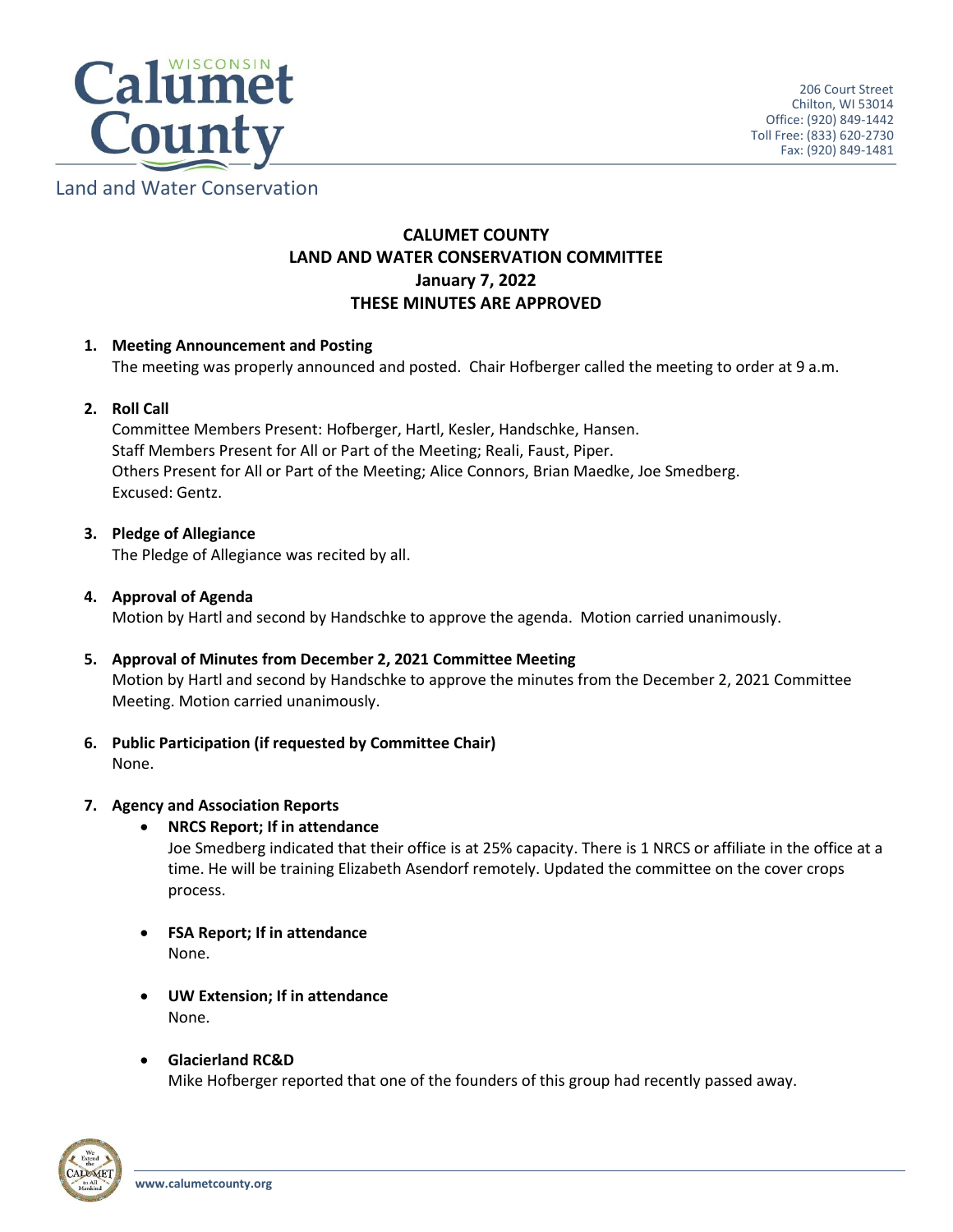

Land and Water Conservation

# **CALUMET COUNTY LAND AND WATER CONSERVATION COMMITTEE January 7, 2022 THESE MINUTES ARE APPROVED**

# **1. Meeting Announcement and Posting**

The meeting was properly announced and posted. Chair Hofberger called the meeting to order at 9 a.m.

# **2. Roll Call**

Committee Members Present: Hofberger, Hartl, Kesler, Handschke, Hansen. Staff Members Present for All or Part of the Meeting; Reali, Faust, Piper. Others Present for All or Part of the Meeting; Alice Connors, Brian Maedke, Joe Smedberg. Excused: Gentz.

# **3. Pledge of Allegiance**

The Pledge of Allegiance was recited by all.

# **4. Approval of Agenda**

Motion by Hartl and second by Handschke to approve the agenda. Motion carried unanimously.

# **5. Approval of Minutes from December 2, 2021 Committee Meeting**

Motion by Hartl and second by Handschke to approve the minutes from the December 2, 2021 Committee Meeting. Motion carried unanimously.

# **6. Public Participation (if requested by Committee Chair)** None.

# **7. Agency and Association Reports**

# **NRCS Report; If in attendance**

Joe Smedberg indicated that their office is at 25% capacity. There is 1 NRCS or affiliate in the office at a time. He will be training Elizabeth Asendorf remotely. Updated the committee on the cover crops process.

- **FSA Report; If in attendance** None.
- **UW Extension; If in attendance** None.

# **Glacierland RC&D**

Mike Hofberger reported that one of the founders of this group had recently passed away.

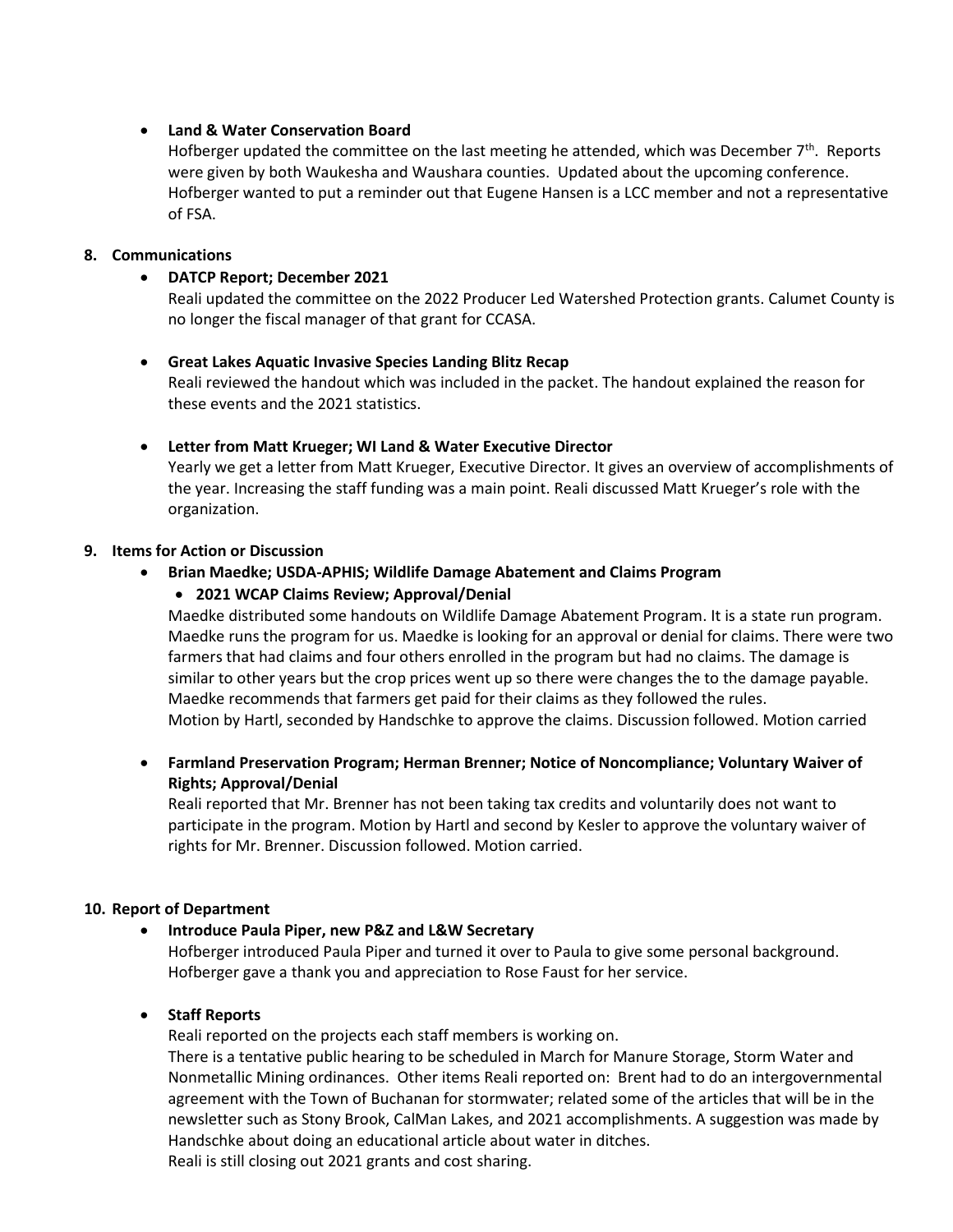# **Land & Water Conservation Board**

Hofberger updated the committee on the last meeting he attended, which was December 7<sup>th</sup>. Reports were given by both Waukesha and Waushara counties. Updated about the upcoming conference. Hofberger wanted to put a reminder out that Eugene Hansen is a LCC member and not a representative of FSA.

# **8. Communications**

#### **DATCP Report; December 2021**

Reali updated the committee on the 2022 Producer Led Watershed Protection grants. Calumet County is no longer the fiscal manager of that grant for CCASA.

 **Great Lakes Aquatic Invasive Species Landing Blitz Recap** Reali reviewed the handout which was included in the packet. The handout explained the reason for these events and the 2021 statistics.

#### **Letter from Matt Krueger; WI Land & Water Executive Director**

Yearly we get a letter from Matt Krueger, Executive Director. It gives an overview of accomplishments of the year. Increasing the staff funding was a main point. Reali discussed Matt Krueger's role with the organization.

#### **9. Items for Action or Discussion**

# **Brian Maedke; USDA-APHIS; Wildlife Damage Abatement and Claims Program**

# **2021 WCAP Claims Review; Approval/Denial**

Maedke distributed some handouts on Wildlife Damage Abatement Program. It is a state run program. Maedke runs the program for us. Maedke is looking for an approval or denial for claims. There were two farmers that had claims and four others enrolled in the program but had no claims. The damage is similar to other years but the crop prices went up so there were changes the to the damage payable. Maedke recommends that farmers get paid for their claims as they followed the rules. Motion by Hartl, seconded by Handschke to approve the claims. Discussion followed. Motion carried

 **Farmland Preservation Program; Herman Brenner; Notice of Noncompliance; Voluntary Waiver of Rights; Approval/Denial**

Reali reported that Mr. Brenner has not been taking tax credits and voluntarily does not want to participate in the program. Motion by Hartl and second by Kesler to approve the voluntary waiver of rights for Mr. Brenner. Discussion followed. Motion carried.

# **10. Report of Department**

# **Introduce Paula Piper, new P&Z and L&W Secretary**

Hofberger introduced Paula Piper and turned it over to Paula to give some personal background. Hofberger gave a thank you and appreciation to Rose Faust for her service.

# **•** Staff Reports

Reali reported on the projects each staff members is working on.

There is a tentative public hearing to be scheduled in March for Manure Storage, Storm Water and Nonmetallic Mining ordinances. Other items Reali reported on: Brent had to do an intergovernmental agreement with the Town of Buchanan for stormwater; related some of the articles that will be in the newsletter such as Stony Brook, CalMan Lakes, and 2021 accomplishments. A suggestion was made by Handschke about doing an educational article about water in ditches.

Reali is still closing out 2021 grants and cost sharing.